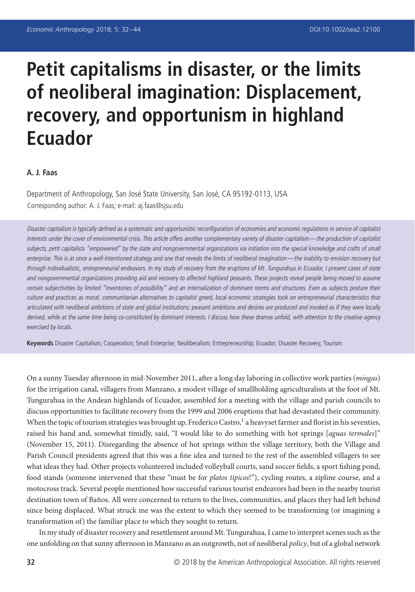# **Petit capitalisms in disaster, or the limits of neoliberal imagination: Displacement, recovery, and opportunism in highland Ecuador**

#### **A. J. Faas**

Department of Anthropology, San José State University, San José, CA 95192-0113, USA Corresponding author: A. J. Faas; e-mail: aj.faas@sjsu.edu

Disaster capitalism is typically defined as <sup>a</sup> systematic and opportunistic reconfiguration of economies and economic regulations in service of capitalist interests under the cover of environmental crisis. This article offers another complementary variety of disaster capitalism—the production of capitalist subjects, petit capitalists "empowered" by the state and nongovernmental organizations via initiation into the special knowledge and crafts of small enterprise. This is at once a well-intentioned strategy and one that reveals the limits of neoliberal imagination—the inability to envision recovery but through individualistic, entrepreneurial endeavors. In my study of recovery from the eruptions of Mt. Tungurahua in Ecuador, I present cases of state and nongovernmental organizations providing aid and recovery to affected highland peasants. These projects reveal people being moved to assume certain subjectivities by limited "inventories of possibility" and an internalization of dominant norms and structures. Even as subjects posture their culture and practices as moral, communitarian alternatives to capitalist greed, local economic strategies took on entrepreneurial characteristics that articulated with neoliberal ambitions of state and global institutions; peasant ambitions and desires are produced and invoked as if they were locally derived, while at the same time being co-constituted by dominant interests. I discuss how these dramas unfold, with attention to the creative agency exercised by locals.

**Keywords** Disaster Capitalism; Cooperation; Small Enterprise; Neoliberalism; Entrepreneurship; Ecuador; Disaster Recovery; Tourism

On a sunny Tuesday afternoon in mid-November 2011, after a long day laboring in collective work parties (*mingas*) for the irrigation canal, villagers from Manzano, a modest village of smallholding agriculturalists at the foot of Mt. Tungurahua in the Andean highlands of Ecuador, assembled for a meeting with the village and parish councils to discuss opportunities to facilitate recovery from the 1999 and 2006 eruptions that had devastated their community. When the topic of tourism strategies was brought up, Frederico Castro, $1$  a heavyset farmer and florist in his seventies, raised his hand and, somewhat timidly, said, "I would like to do something with hot springs [*aguas termales*]" (November 15, 2011). Disregarding the absence of hot springs within the village territory, both the Village and Parish Council presidents agreed that this was a fine idea and turned to the rest of the assembled villagers to see what ideas they had. Other projects volunteered included volleyball courts, sand soccer fields, a sport fishing pond, food stands (someone intervened that these "must be for *platos tipicos*!"), cycling routes, a zipline course, and a motocross track. Several people mentioned how successful various tourist endeavors had been in the nearby tourist destination town of Baños. All were concerned to return to the lives, communities, and places they had left behind since being displaced. What struck me was the extent to which they seemed to be transforming (or imagining a transformation of) the familiar place to which they sought to return.

In my study of disaster recovery and resettlement around Mt. Tungurahua, I came to interpret scenes such as the one unfolding on that sunny afternoon in Manzano as an outgrowth, not of neoliberal *policy*, but of a global network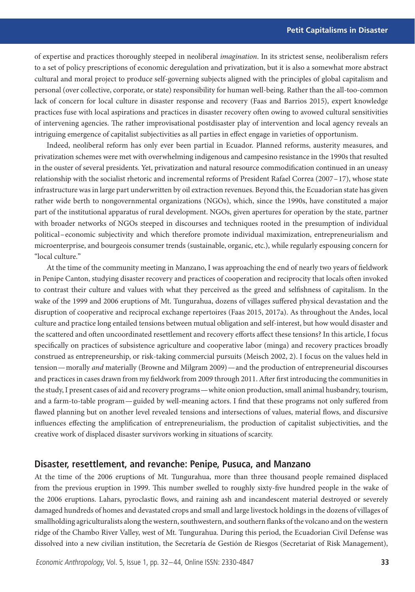of expertise and practices thoroughly steeped in neoliberal *imagination*. In its strictest sense, neoliberalism refers to a set of policy prescriptions of economic deregulation and privatization, but it is also a somewhat more abstract cultural and moral project to produce self-governing subjects aligned with the principles of global capitalism and personal (over collective, corporate, or state) responsibility for human well-being. Rather than the all-too-common lack of concern for local culture in disaster response and recovery (Faas and Barrios 2015), expert knowledge practices fuse with local aspirations and practices in disaster recovery often owing to avowed cultural sensitivities of intervening agencies. The rather improvisational postdisaster play of intervention and local agency reveals an intriguing emergence of capitalist subjectivities as all parties in effect engage in varieties of opportunism.

Indeed, neoliberal reform has only ever been partial in Ecuador. Planned reforms, austerity measures, and privatization schemes were met with overwhelming indigenous and campesino resistance in the 1990s that resulted in the ouster of several presidents. Yet, privatization and natural resource commodification continued in an uneasy relationship with the socialist rhetoric and incremental reforms of President Rafael Correa (2007–17), whose state infrastructure was in large part underwritten by oil extraction revenues. Beyond this, the Ecuadorian state has given rather wide berth to nongovernmental organizations (NGOs), which, since the 1990s, have constituted a major part of the institutional apparatus of rural development. NGOs, given apertures for operation by the state, partner with broader networks of NGOs steeped in discourses and techniques rooted in the presumption of individual political–economic subjectivity and which therefore promote individual maximization, entrepreneurialism and microenterprise, and bourgeois consumer trends (sustainable, organic, etc.), while regularly espousing concern for "local culture."

At the time of the community meeting in Manzano, I was approaching the end of nearly two years of fieldwork in Penipe Canton, studying disaster recovery and practices of cooperation and reciprocity that locals often invoked to contrast their culture and values with what they perceived as the greed and selfishness of capitalism. In the wake of the 1999 and 2006 eruptions of Mt. Tungurahua, dozens of villages suffered physical devastation and the disruption of cooperative and reciprocal exchange repertoires (Faas 2015, 2017a). As throughout the Andes, local culture and practice long entailed tensions between mutual obligation and self-interest, but how would disaster and the scattered and often uncoordinated resettlement and recovery efforts affect these tensions? In this article, I focus specifically on practices of subsistence agriculture and cooperative labor (minga) and recovery practices broadly construed as entrepreneurship, or risk-taking commercial pursuits (Meisch 2002, 2). I focus on the values held in tension—morally *and* materially (Browne and Milgram 2009)—and the production of entrepreneurial discourses and practices in cases drawn from my fieldwork from 2009 through 2011. After first introducing the communities in the study, I present cases of aid and recovery programs—white onion production, small animal husbandry, tourism, and a farm-to-table program—guided by well-meaning actors. I find that these programs not only suffered from flawed planning but on another level revealed tensions and intersections of values, material flows, and discursive influences effecting the amplification of entrepreneurialism, the production of capitalist subjectivities, and the creative work of displaced disaster survivors working in situations of scarcity.

#### **Disaster, resettlement, and revanche: Penipe, Pusuca, and Manzano**

At the time of the 2006 eruptions of Mt. Tungurahua, more than three thousand people remained displaced from the previous eruption in 1999. This number swelled to roughly sixty-five hundred people in the wake of the 2006 eruptions. Lahars, pyroclastic flows, and raining ash and incandescent material destroyed or severely damaged hundreds of homes and devastated crops and small and large livestock holdings in the dozens of villages of smallholding agriculturalists along the western, southwestern, and southern flanks of the volcano and on the western ridge of the Chambo River Valley, west of Mt. Tungurahua. During this period, the Ecuadorian Civil Defense was dissolved into a new civilian institution, the Secretaría de Gestión de Riesgos (Secretariat of Risk Management),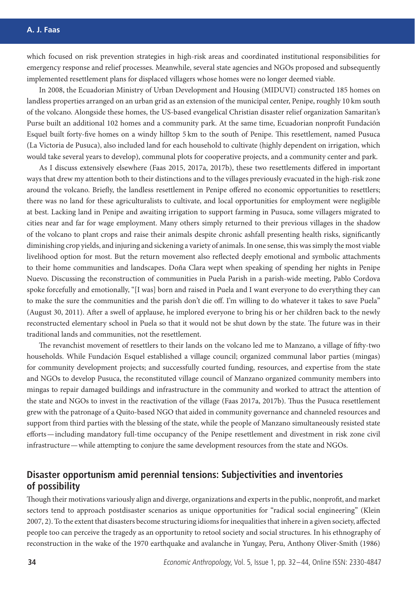#### **A. J. Faas**

which focused on risk prevention strategies in high-risk areas and coordinated institutional responsibilities for emergency response and relief processes. Meanwhile, several state agencies and NGOs proposed and subsequently implemented resettlement plans for displaced villagers whose homes were no longer deemed viable.

In 2008, the Ecuadorian Ministry of Urban Development and Housing (MIDUVI) constructed 185 homes on landless properties arranged on an urban grid as an extension of the municipal center, Penipe, roughly 10 km south of the volcano. Alongside these homes, the US-based evangelical Christian disaster relief organization Samaritan's Purse built an additional 102 homes and a community park. At the same time, Ecuadorian nonprofit Fundación Esquel built forty-five homes on a windy hilltop 5 km to the south of Penipe. This resettlement, named Pusuca (La Victoria de Pusuca), also included land for each household to cultivate (highly dependent on irrigation, which would take several years to develop), communal plots for cooperative projects, and a community center and park.

As I discuss extensively elsewhere (Faas 2015, 2017a, 2017b), these two resettlements differed in important ways that drew my attention both to their distinctions and to the villages previously evacuated in the high-risk zone around the volcano. Briefly, the landless resettlement in Penipe offered no economic opportunities to resettlers; there was no land for these agriculturalists to cultivate, and local opportunities for employment were negligible at best. Lacking land in Penipe and awaiting irrigation to support farming in Pusuca, some villagers migrated to cities near and far for wage employment. Many others simply returned to their previous villages in the shadow of the volcano to plant crops and raise their animals despite chronic ashfall presenting health risks, significantly diminishing crop yields, and injuring and sickening a variety of animals. In one sense, this was simply the most viable livelihood option for most. But the return movement also reflected deeply emotional and symbolic attachments to their home communities and landscapes. Doña Clara wept when speaking of spending her nights in Penipe Nuevo. Discussing the reconstruction of communities in Puela Parish in a parish-wide meeting, Pablo Cordova spoke forcefully and emotionally, "[I was] born and raised in Puela and I want everyone to do everything they can to make the sure the communities and the parish don't die off. I'm willing to do whatever it takes to save Puela" (August 30, 2011). After a swell of applause, he implored everyone to bring his or her children back to the newly reconstructed elementary school in Puela so that it would not be shut down by the state. The future was in their traditional lands and communities, not the resettlement.

The revanchist movement of resettlers to their lands on the volcano led me to Manzano, a village of fifty-two households. While Fundación Esquel established a village council; organized communal labor parties (mingas) for community development projects; and successfully courted funding, resources, and expertise from the state and NGOs to develop Pusuca, the reconstituted village council of Manzano organized community members into mingas to repair damaged buildings and infrastructure in the community and worked to attract the attention of the state and NGOs to invest in the reactivation of the village (Faas 2017a, 2017b). Thus the Pusuca resettlement grew with the patronage of a Quito-based NGO that aided in community governance and channeled resources and support from third parties with the blessing of the state, while the people of Manzano simultaneously resisted state efforts—including mandatory full-time occupancy of the Penipe resettlement and divestment in risk zone civil infrastructure—while attempting to conjure the same development resources from the state and NGOs.

# **Disaster opportunism amid perennial tensions: Subjectivities and inventories of possibility**

Though their motivations variously align and diverge, organizations and experts in the public, nonprofit, and market sectors tend to approach postdisaster scenarios as unique opportunities for "radical social engineering" (Klein 2007, 2). To the extent that disasters become structuring idioms for inequalities that inhere in a given society, affected people too can perceive the tragedy as an opportunity to retool society and social structures. In his ethnography of reconstruction in the wake of the 1970 earthquake and avalanche in Yungay, Peru, Anthony Oliver-Smith (1986)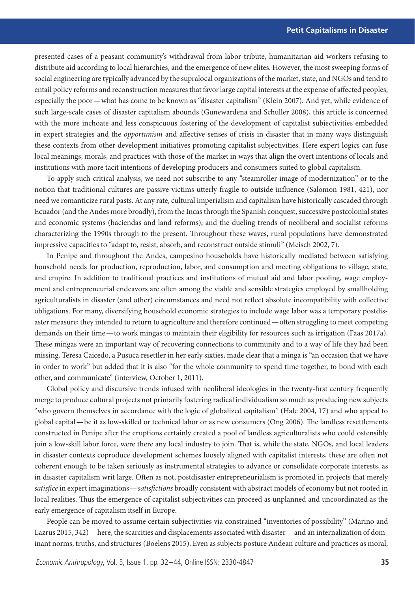presented cases of a peasant community's withdrawal from labor tribute, humanitarian aid workers refusing to distribute aid according to local hierarchies, and the emergence of new elites. However, the most sweeping forms of social engineering are typically advanced by the supralocal organizations of the market, state, and NGOs and tend to entail policy reforms and reconstruction measures that favor large capital interests at the expense of affected peoples, especially the poor—what has come to be known as "disaster capitalism" (Klein 2007). And yet, while evidence of such large-scale cases of disaster capitalism abounds (Gunewardena and Schuller 2008), this article is concerned with the more inchoate and less conspicuous fostering of the development of capitalist subjectivities embedded in expert strategies and the *opportunism* and affective senses of crisis in disaster that in many ways distinguish these contexts from other development initiatives promoting capitalist subjectivities. Here expert logics can fuse local meanings, morals, and practices with those of the market in ways that align the overt intentions of locals and institutions with more tacit intentions of developing producers and consumers suited to global capitalism.

To apply such critical analysis, we need not subscribe to any "steamroller image of modernization" or to the notion that traditional cultures are passive victims utterly fragile to outside influence (Salomon 1981, 421), nor need we romanticize rural pasts. At any rate, cultural imperialism and capitalism have historically cascaded through Ecuador (and the Andes more broadly), from the Incas through the Spanish conquest, successive postcolonial states and economic systems (haciendas and land reforms), and the dueling trends of neoliberal and socialist reforms characterizing the 1990s through to the present. Throughout these waves, rural populations have demonstrated impressive capacities to "adapt to, resist, absorb, and reconstruct outside stimuli" (Meisch 2002, 7).

In Penipe and throughout the Andes, campesino households have historically mediated between satisfying household needs for production, reproduction, labor, and consumption and meeting obligations to village, state, and empire. In addition to traditional practices and institutions of mutual aid and labor pooling, wage employment and entrepreneurial endeavors are often among the viable and sensible strategies employed by smallholding agriculturalists in disaster (and other) circumstances and need not reflect absolute incompatibility with collective obligations. For many, diversifying household economic strategies to include wage labor was a temporary postdisaster measure; they intended to return to agriculture and therefore continued—often struggling to meet competing demands on their time— to work mingas to maintain their eligibility for resources such as irrigation (Faas 2017a). These mingas were an important way of recovering connections to community and to a way of life they had been missing. Teresa Caicedo, a Pusuca resettler in her early sixties, made clear that a minga is "an occasion that we have in order to work" but added that it is also "for the whole community to spend time together, to bond with each other, and communicate" (interview, October 1, 2011).

Global policy and discursive trends infused with neoliberal ideologies in the twenty-first century frequently merge to produce cultural projects not primarily fostering radical individualism so much as producing new subjects "who govern themselves in accordance with the logic of globalized capitalism" (Hale 2004, 17) and who appeal to global capital—be it as low-skilled or technical labor or as new consumers (Ong 2006). The landless resettlements constructed in Penipe after the eruptions certainly created a pool of landless agriculturalists who could ostensibly join a low-skill labor force, were there any local industry to join. That is, while the state, NGOs, and local leaders in disaster contexts coproduce development schemes loosely aligned with capitalist interests, these are often not coherent enough to be taken seriously as instrumental strategies to advance or consolidate corporate interests, as in disaster capitalism writ large. Often as not, postdisaster entrepreneurialism is promoted in projects that merely *satisfice* in expert imaginations—*satisfictions* broadly consistent with abstract models of economy but not rooted in local realities. Thus the emergence of capitalist subjectivities can proceed as unplanned and uncoordinated as the early emergence of capitalism itself in Europe.

People can be moved to assume certain subjectivities via constrained "inventories of possibility" (Marino and Lazrus 2015, 342)—here, the scarcities and displacements associated with disaster—and an internalization of dominant norms, truths, and structures (Boelens 2015). Even as subjects posture Andean culture and practices as moral,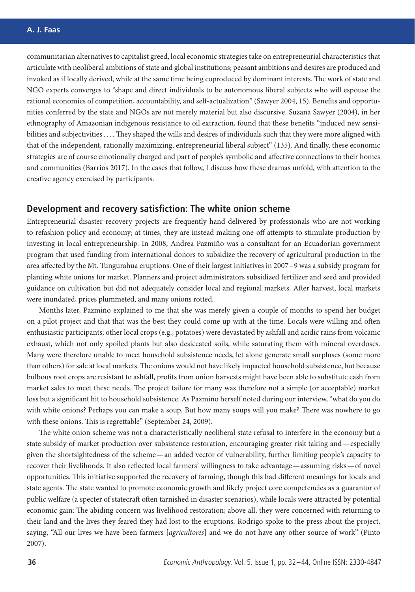communitarian alternatives to capitalist greed, local economic strategies take on entrepreneurial characteristics that articulate with neoliberal ambitions of state and global institutions; peasant ambitions and desires are produced and invoked as if locally derived, while at the same time being coproduced by dominant interests. The work of state and NGO experts converges to "shape and direct individuals to be autonomous liberal subjects who will espouse the rational economies of competition, accountability, and self-actualization" (Sawyer 2004, 15). Benefits and opportunities conferred by the state and NGOs are not merely material but also discursive. Suzana Sawyer (2004), in her ethnography of Amazonian indigenous resistance to oil extraction, found that these benefits "induced new sensibilities and subjectivities . . . . They shaped the wills and desires of individuals such that they were more aligned with that of the independent, rationally maximizing, entrepreneurial liberal subject" (135). And finally, these economic strategies are of course emotionally charged and part of people's symbolic and affective connections to their homes and communities (Barrios 2017). In the cases that follow, I discuss how these dramas unfold, with attention to the creative agency exercised by participants.

## **Development and recovery satisfiction: The white onion scheme**

Entrepreneurial disaster recovery projects are frequently hand-delivered by professionals who are not working to refashion policy and economy; at times, they are instead making one-off attempts to stimulate production by investing in local entrepreneurship. In 2008, Andrea Pazmiño was a consultant for an Ecuadorian government program that used funding from international donors to subsidize the recovery of agricultural production in the area affected by the Mt. Tungurahua eruptions. One of their largest initiatives in 2007–9 was a subsidy program for planting white onions for market. Planners and project administrators subsidized fertilizer and seed and provided guidance on cultivation but did not adequately consider local and regional markets. After harvest, local markets were inundated, prices plummeted, and many onions rotted.

Months later, Pazmiño explained to me that she was merely given a couple of months to spend her budget on a pilot project and that that was the best they could come up with at the time. Locals were willing and often enthusiastic participants; other local crops (e.g., potatoes) were devastated by ashfall and acidic rains from volcanic exhaust, which not only spoiled plants but also desiccated soils, while saturating them with mineral overdoses. Many were therefore unable to meet household subsistence needs, let alone generate small surpluses (some more than others) for sale at local markets.The onions would not have likely impacted household subsistence, but because bulbous root crops are resistant to ashfall, profits from onion harvests might have been able to substitute cash from market sales to meet these needs. The project failure for many was therefore not a simple (or acceptable) market loss but a significant hit to household subsistence. As Pazmiño herself noted during our interview, "what do you do with white onions? Perhaps you can make a soup. But how many soups will you make? There was nowhere to go with these onions. This is regrettable" (September 24, 2009).

The white onion scheme was not a characteristically neoliberal state refusal to interfere in the economy but a state subsidy of market production over subsistence restoration, encouraging greater risk taking and—especially given the shortsightedness of the scheme—an added vector of vulnerability, further limiting people's capacity to recover their livelihoods. It also reflected local farmers' willingness to take advantage—assuming risks—of novel opportunities. This initiative supported the recovery of farming, though this had different meanings for locals and state agents. The state wanted to promote economic growth and likely project core competencies as a guarantor of public welfare (a specter of statecraft often tarnished in disaster scenarios), while locals were attracted by potential economic gain: The abiding concern was livelihood restoration; above all, they were concerned with returning to their land and the lives they feared they had lost to the eruptions. Rodrigo spoke to the press about the project, saying, "All our lives we have been farmers [*agricultores*] and we do not have any other source of work" (Pinto 2007).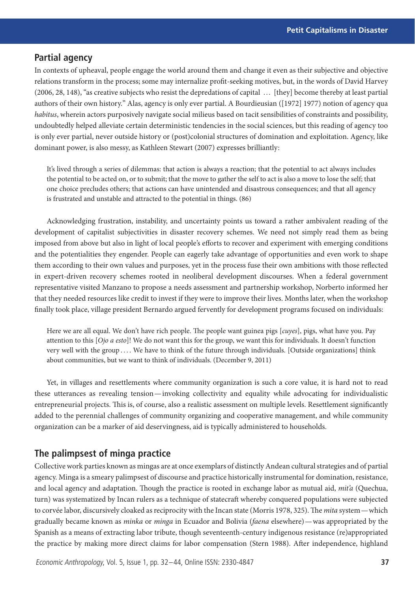# **Partial agency**

In contexts of upheaval, people engage the world around them and change it even as their subjective and objective relations transform in the process; some may internalize profit-seeking motives, but, in the words of David Harvey (2006, 28, 148), "as creative subjects who resist the depredations of capital … [they] become thereby at least partial authors of their own history." Alas, agency is only ever partial. A Bourdieusian ([1972] 1977) notion of agency qua *habitus*, wherein actors purposively navigate social milieus based on tacit sensibilities of constraints and possibility, undoubtedly helped alleviate certain deterministic tendencies in the social sciences, but this reading of agency too is only ever partial, never outside history or (post)colonial structures of domination and exploitation. Agency, like dominant power, is also messy, as Kathleen Stewart (2007) expresses brilliantly:

It's lived through a series of dilemmas: that action is always a reaction; that the potential to act always includes the potential to be acted on, or to submit; that the move to gather the self to act is also a move to lose the self; that one choice precludes others; that actions can have unintended and disastrous consequences; and that all agency is frustrated and unstable and attracted to the potential in things. (86)

Acknowledging frustration, instability, and uncertainty points us toward a rather ambivalent reading of the development of capitalist subjectivities in disaster recovery schemes. We need not simply read them as being imposed from above but also in light of local people's efforts to recover and experiment with emerging conditions and the potentialities they engender. People can eagerly take advantage of opportunities and even work to shape them according to their own values and purposes, yet in the process fuse their own ambitions with those reflected in expert-driven recovery schemes rooted in neoliberal development discourses. When a federal government representative visited Manzano to propose a needs assessment and partnership workshop, Norberto informed her that they needed resources like credit to invest if they were to improve their lives. Months later, when the workshop finally took place, village president Bernardo argued fervently for development programs focused on individuals:

Here we are all equal. We don't have rich people. The people want guinea pigs [*cuyes*], pigs, what have you. Pay attention to this [*Ojo a esto*]! We do not want this for the group, we want this for individuals. It doesn't function very well with the group .... We have to think of the future through individuals. [Outside organizations] think about communities, but we want to think of individuals. (December 9, 2011)

Yet, in villages and resettlements where community organization is such a core value, it is hard not to read these utterances as revealing tension—invoking collectivity and equality while advocating for individualistic entrepreneurial projects. This is, of course, also a realistic assessment on multiple levels. Resettlement significantly added to the perennial challenges of community organizing and cooperative management, and while community organization can be a marker of aid deservingness, aid is typically administered to households.

# **The palimpsest of minga practice**

Collective work parties known as mingas are at once exemplars of distinctly Andean cultural strategies and of partial agency. Minga is a smeary palimpsest of discourse and practice historically instrumental for domination, resistance, and local agency and adaptation. Though the practice is rooted in exchange labor as mutual aid, *mit'a* (Quechua, turn) was systematized by Incan rulers as a technique of statecraft whereby conquered populations were subjected to corvée labor, discursively cloaked as reciprocity with the Incan state (Morris 1978, 325). The *mita* system—which gradually became known as *minka* or *minga* in Ecuador and Bolivia (*faena* elsewhere)—was appropriated by the Spanish as a means of extracting labor tribute, though seventeenth-century indigenous resistance (re)appropriated the practice by making more direct claims for labor compensation (Stern 1988). After independence, highland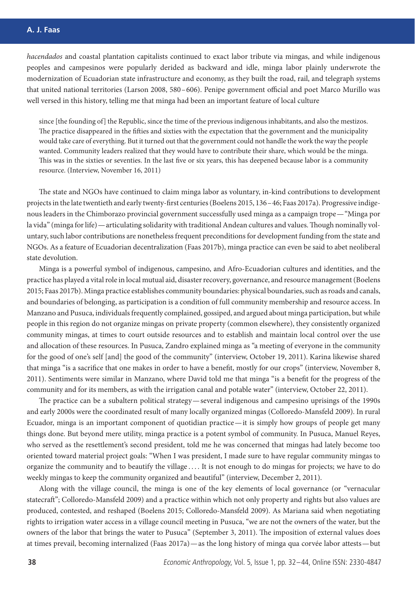*hacendados* and coastal plantation capitalists continued to exact labor tribute via mingas, and while indigenous peoples and campesinos were popularly derided as backward and idle, minga labor plainly underwrote the modernization of Ecuadorian state infrastructure and economy, as they built the road, rail, and telegraph systems that united national territories (Larson 2008, 580–606). Penipe government official and poet Marco Murillo was well versed in this history, telling me that minga had been an important feature of local culture

since [the founding of] the Republic, since the time of the previous indigenous inhabitants, and also the mestizos. The practice disappeared in the fifties and sixties with the expectation that the government and the municipality would take care of everything. But it turned out that the government could not handle the work the way the people wanted. Community leaders realized that they would have to contribute their share, which would be the minga. This was in the sixties or seventies. In the last five or six years, this has deepened because labor is a community resource. (Interview, November 16, 2011)

The state and NGOs have continued to claim minga labor as voluntary, in-kind contributions to development projects in the late twentieth and early twenty-first centuries (Boelens 2015, 136–46; Faas 2017a). Progressive indigenous leaders in the Chimborazo provincial government successfully used minga as a campaign trope—"Minga por la vida" (minga for life)—articulating solidarity with traditional Andean cultures and values.Though nominally voluntary, such labor contributions are nonetheless frequent preconditions for development funding from the state and NGOs. As a feature of Ecuadorian decentralization (Faas 2017b), minga practice can even be said to abet neoliberal state devolution.

Minga is a powerful symbol of indigenous, campesino, and Afro-Ecuadorian cultures and identities, and the practice has played a vital role in local mutual aid, disaster recovery, governance, and resource management (Boelens 2015; Faas 2017b). Minga practice establishes community boundaries: physical boundaries, such as roads and canals, and boundaries of belonging, as participation is a condition of full community membership and resource access. In Manzano and Pusuca, individuals frequently complained, gossiped, and argued about minga participation, but while people in this region do not organize mingas on private property (common elsewhere), they consistently organized community mingas, at times to court outside resources and to establish and maintain local control over the use and allocation of these resources. In Pusuca, Zandro explained minga as "a meeting of everyone in the community for the good of one's self [and] the good of the community" (interview, October 19, 2011). Karina likewise shared that minga "is a sacrifice that one makes in order to have a benefit, mostly for our crops" (interview, November 8, 2011). Sentiments were similar in Manzano, where David told me that minga "is a benefit for the progress of the community and for its members, as with the irrigation canal and potable water" (interview, October 22, 2011).

The practice can be a subaltern political strategy—several indigenous and campesino uprisings of the 1990s and early 2000s were the coordinated result of many locally organized mingas (Colloredo-Mansfeld 2009). In rural Ecuador, minga is an important component of quotidian practice—it is simply how groups of people get many things done. But beyond mere utility, minga practice is a potent symbol of community. In Pusuca, Manuel Reyes, who served as the resettlement's second president, told me he was concerned that mingas had lately become too oriented toward material project goals: "When I was president, I made sure to have regular community mingas to organize the community and to beautify the village . . . . It is not enough to do mingas for projects; we have to do weekly mingas to keep the community organized and beautiful" (interview, December 2, 2011).

Along with the village council, the minga is one of the key elements of local governance (or "vernacular statecraft"; Colloredo-Mansfeld 2009) and a practice within which not only property and rights but also values are produced, contested, and reshaped (Boelens 2015; Colloredo-Mansfeld 2009). As Mariana said when negotiating rights to irrigation water access in a village council meeting in Pusuca, "we are not the owners of the water, but the owners of the labor that brings the water to Pusuca" (September 3, 2011). The imposition of external values does at times prevail, becoming internalized (Faas 2017a)—as the long history of minga qua corvée labor attests—but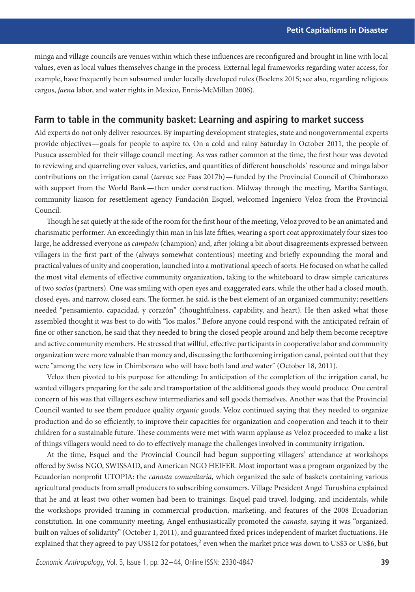minga and village councils are venues within which these influences are reconfigured and brought in line with local values, even as local values themselves change in the process. External legal frameworks regarding water access, for example, have frequently been subsumed under locally developed rules (Boelens 2015; see also, regarding religious cargos, *faena* labor, and water rights in Mexico, Ennis-McMillan 2006).

## **Farm to table in the community basket: Learning and aspiring to market success**

Aid experts do not only deliver resources. By imparting development strategies, state and nongovernmental experts provide objectives—goals for people to aspire to. On a cold and rainy Saturday in October 2011, the people of Pusuca assembled for their village council meeting. As was rather common at the time, the first hour was devoted to reviewing and quarreling over values, varieties, and quantities of different households' resource and minga labor contributions on the irrigation canal (*tareas*; see Faas 2017b)—funded by the Provincial Council of Chimborazo with support from the World Bank— then under construction. Midway through the meeting, Martha Santiago, community liaison for resettlement agency Fundación Esquel, welcomed Ingeniero Veloz from the Provincial Council.

Though he sat quietly at the side of the room for the first hour of the meeting, Veloz proved to be an animated and charismatic performer. An exceedingly thin man in his late fifties, wearing a sport coat approximately four sizes too large, he addressed everyone as *campeón* (champion) and, after joking a bit about disagreements expressed between villagers in the first part of the (always somewhat contentious) meeting and briefly expounding the moral and practical values of unity and cooperation, launched into a motivational speech of sorts. He focused on what he called the most vital elements of effective community organization, taking to the whiteboard to draw simple caricatures of two *socios* (partners). One was smiling with open eyes and exaggerated ears, while the other had a closed mouth, closed eyes, and narrow, closed ears. The former, he said, is the best element of an organized community; resettlers needed "pensamiento, capacidad, y corazón" (thoughtfulness, capability, and heart). He then asked what those assembled thought it was best to do with "los malos." Before anyone could respond with the anticipated refrain of fine or other sanction, he said that they needed to bring the closed people around and help them become receptive and active community members. He stressed that willful, effective participants in cooperative labor and community organization were more valuable than money and, discussing the forthcoming irrigation canal, pointed out that they were "among the very few in Chimborazo who will have both land *and* water" (October 18, 2011).

Veloz then pivoted to his purpose for attending: In anticipation of the completion of the irrigation canal, he wanted villagers preparing for the sale and transportation of the additional goods they would produce. One central concern of his was that villagers eschew intermediaries and sell goods themselves. Another was that the Provincial Council wanted to see them produce quality *organic* goods. Veloz continued saying that they needed to organize production and do so efficiently, to improve their capacities for organization and cooperation and teach it to their children for a sustainable future. These comments were met with warm applause as Veloz proceeded to make a list of things villagers would need to do to effectively manage the challenges involved in community irrigation.

At the time, Esquel and the Provincial Council had begun supporting villagers' attendance at workshops offered by Swiss NGO, SWISSAID, and American NGO HEIFER. Most important was a program organized by the Ecuadorian nonprofit UTOPIA: the *canasta comunitaria*, which organized the sale of baskets containing various agricultural products from small producers to subscribing consumers. Village President Angel Turushina explained that he and at least two other women had been to trainings. Esquel paid travel, lodging, and incidentals, while the workshops provided training in commercial production, marketing, and features of the 2008 Ecuadorian constitution. In one community meeting, Angel enthusiastically promoted the *canasta*, saying it was "organized, built on values of solidarity" (October 1, 2011), and guaranteed fixed prices independent of market fluctuations. He explained that they agreed to pay US\$12 for potatoes,<sup>2</sup> even when the market price was down to US\$3 or US\$6, but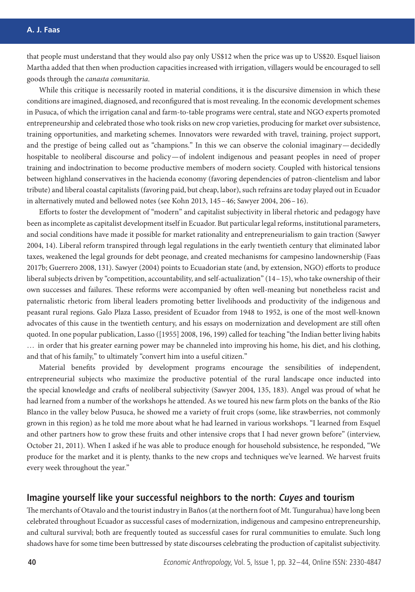that people must understand that they would also pay only US\$12 when the price was up to US\$20. Esquel liaison Martha added that then when production capacities increased with irrigation, villagers would be encouraged to sell goods through the *canasta comunitaria*.

While this critique is necessarily rooted in material conditions, it is the discursive dimension in which these conditions are imagined, diagnosed, and reconfigured that is most revealing. In the economic development schemes in Pusuca, of which the irrigation canal and farm-to-table programs were central, state and NGO experts promoted entrepreneurship and celebrated those who took risks on new crop varieties, producing for market over subsistence, training opportunities, and marketing schemes. Innovators were rewarded with travel, training, project support, and the prestige of being called out as "champions." In this we can observe the colonial imaginary—decidedly hospitable to neoliberal discourse and policy—of indolent indigenous and peasant peoples in need of proper training and indoctrination to become productive members of modern society. Coupled with historical tensions between highland conservatives in the hacienda economy (favoring dependencies of patron-clientelism and labor tribute) and liberal coastal capitalists (favoring paid, but cheap, labor), such refrains are today played out in Ecuador in alternatively muted and bellowed notes (see Kohn 2013, 145–46; Sawyer 2004, 206–16).

Efforts to foster the development of "modern" and capitalist subjectivity in liberal rhetoric and pedagogy have been as incomplete as capitalist development itself in Ecuador. But particular legal reforms, institutional parameters, and social conditions have made it possible for market rationality and entrepreneurialism to gain traction (Sawyer 2004, 14). Liberal reform transpired through legal regulations in the early twentieth century that eliminated labor taxes, weakened the legal grounds for debt peonage, and created mechanisms for campesino landownership (Faas 2017b; Guerrero 2008, 131). Sawyer (2004) points to Ecuadorian state (and, by extension, NGO) efforts to produce liberal subjects driven by "competition, accountability, and self-actualization" (14–15), who take ownership of their own successes and failures. These reforms were accompanied by often well-meaning but nonetheless racist and paternalistic rhetoric from liberal leaders promoting better livelihoods and productivity of the indigenous and peasant rural regions. Galo Plaza Lasso, president of Ecuador from 1948 to 1952, is one of the most well-known advocates of this cause in the twentieth century, and his essays on modernization and development are still often quoted. In one popular publication, Lasso ([1955] 2008, 196, 199) called for teaching "the Indian better living habits … in order that his greater earning power may be channeled into improving his home, his diet, and his clothing, and that of his family," to ultimately "convert him into a useful citizen."

Material benefits provided by development programs encourage the sensibilities of independent, entrepreneurial subjects who maximize the productive potential of the rural landscape once inducted into the special knowledge and crafts of neoliberal subjectivity (Sawyer 2004, 135, 183). Angel was proud of what he had learned from a number of the workshops he attended. As we toured his new farm plots on the banks of the Rio Blanco in the valley below Pusuca, he showed me a variety of fruit crops (some, like strawberries, not commonly grown in this region) as he told me more about what he had learned in various workshops. "I learned from Esquel and other partners how to grow these fruits and other intensive crops that I had never grown before" (interview, October 21, 2011). When I asked if he was able to produce enough for household subsistence, he responded, "We produce for the market and it is plenty, thanks to the new crops and techniques we've learned. We harvest fruits every week throughout the year."

### **Imagine yourself like your successful neighbors to the north: Cuyes and tourism**

The merchants of Otavalo and the tourist industry in Baños (at the northern foot of Mt. Tungurahua) have long been celebrated throughout Ecuador as successful cases of modernization, indigenous and campesino entrepreneurship, and cultural survival; both are frequently touted as successful cases for rural communities to emulate. Such long shadows have for some time been buttressed by state discourses celebrating the production of capitalist subjectivity.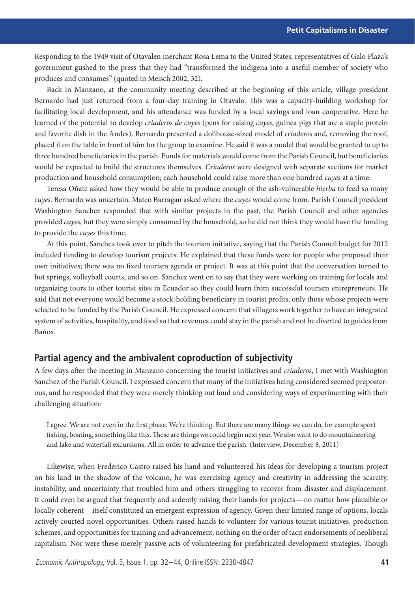Responding to the 1949 visit of Otavalen merchant Rosa Lema to the United States, representatives of Galo Plaza's government gushed to the press that they had "transformed the indigena into a useful member of society who produces and consumes" (quoted in Meisch 2002, 32).

Back in Manzano, at the community meeting described at the beginning of this article, village president Bernardo had just returned from a four-day training in Otavalo. This was a capacity-building workshop for facilitating local development, and his attendance was funded by a local savings and loan cooperative. Here he learned of the potential to develop *criaderos de cuyes* (pens for raising *cuyes*, guinea pigs that are a staple protein and favorite dish in the Andes). Bernardo presented a dollhouse-sized model of *criaderos* and, removing the roof, placed it on the table in front of him for the group to examine. He said it was a model that would be granted to up to three hundred beneficiaries in the parish. Funds for materials would come from the Parish Council, but beneficiaries would be expected to build the structures themselves. *Criaderos* were designed with separate sections for market production and household consumption; each household could raise more than one hundred *cuyes* at a time.

Teresa Oñate asked how they would be able to produce enough of the ash-vulnerable *hierba* to feed so many *cuyes*. Bernardo was uncertain. Mateo Barragan asked where the *cuyes* would come from. Parish Council president Washington Sanchez responded that with similar projects in the past, the Parish Council and other agencies provided *cuyes*, but they were simply consumed by the household, so he did not think they would have the funding to provide the *cuyes* this time.

At this point, Sanchez took over to pitch the tourism initiative, saying that the Parish Council budget for 2012 included funding to develop tourism projects. He explained that these funds were for people who proposed their own initiatives; there was no fixed tourism agenda or project. It was at this point that the conversation turned to hot springs, volleyball courts, and so on. Sanchez went on to say that they were working on training for locals and organizing tours to other tourist sites in Ecuador so they could learn from successful tourism entrepreneurs. He said that not everyone would become a stock-holding beneficiary in tourist profits, only those whose projects were selected to be funded by the Parish Council. He expressed concern that villagers work together to have an integrated system of activities, hospitality, and food so that revenues could stay in the parish and not be diverted to guides from Baños.

# **Partial agency and the ambivalent coproduction of subjectivity**

A few days after the meeting in Manzano concerning the tourist initiatives and *criaderos*, I met with Washington Sanchez of the Parish Council. I expressed concern that many of the initiatives being considered seemed preposterous, and he responded that they were merely thinking out loud and considering ways of experimenting with their challenging situation:

I agree. We are not even in the first phase. We're thinking. But there are many things we can do, for example sport fishing, boating, something like this. These are things we could begin next year. We also want to do mountaineering and lake and waterfall excursions. All in order to advance the parish. (Interview, December 8, 2011)

Likewise, when Frederico Castro raised his hand and volunteered his ideas for developing a tourism project on his land in the shadow of the volcano, he was exercising agency and creativity in addressing the scarcity, instability, and uncertainty that troubled him and others struggling to recover from disaster and displacement. It could even be argued that frequently and ardently raising their hands for projects—no matter how plausible or locally coherent—itself constituted an emergent expression of agency. Given their limited range of options, locals actively courted novel opportunities. Others raised hands to volunteer for various tourist initiatives, production schemes, and opportunities for training and advancement, nothing on the order of tacit endorsements of neoliberal capitalism. Nor were these merely passive acts of volunteering for prefabricated development strategies. Though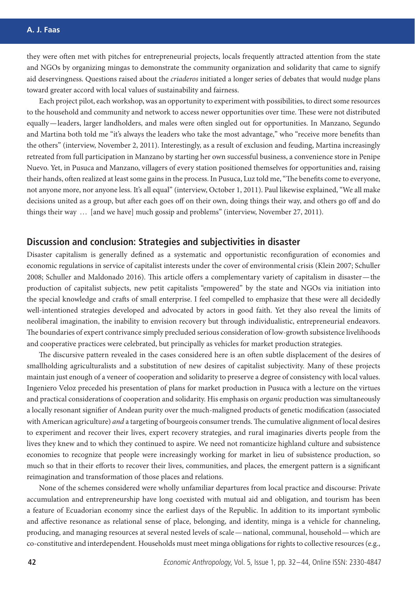they were often met with pitches for entrepreneurial projects, locals frequently attracted attention from the state and NGOs by organizing mingas to demonstrate the community organization and solidarity that came to signify aid deservingness. Questions raised about the *criaderos* initiated a longer series of debates that would nudge plans toward greater accord with local values of sustainability and fairness.

Each project pilot, each workshop, was an opportunity to experiment with possibilities, to direct some resources to the household and community and network to access newer opportunities over time. These were not distributed equally—leaders, larger landholders, and males were often singled out for opportunities. In Manzano, Segundo and Martina both told me "it's always the leaders who take the most advantage," who "receive more benefits than the others" (interview, November 2, 2011). Interestingly, as a result of exclusion and feuding, Martina increasingly retreated from full participation in Manzano by starting her own successful business, a convenience store in Penipe Nuevo. Yet, in Pusuca and Manzano, villagers of every station positioned themselves for opportunities and, raising their hands, often realized at least some gains in the process. In Pusuca, Luz told me, "The benefits come to everyone, not anyone more, nor anyone less. It's all equal" (interview, October 1, 2011). Paul likewise explained, "We all make decisions united as a group, but after each goes off on their own, doing things their way, and others go off and do things their way … [and we have] much gossip and problems" (interview, November 27, 2011).

## **Discussion and conclusion: Strategies and subjectivities in disaster**

Disaster capitalism is generally defined as a systematic and opportunistic reconfiguration of economies and economic regulations in service of capitalist interests under the cover of environmental crisis (Klein 2007; Schuller 2008; Schuller and Maldonado 2016). This article offers a complementary variety of capitalism in disaster— the production of capitalist subjects, new petit capitalists "empowered" by the state and NGOs via initiation into the special knowledge and crafts of small enterprise. I feel compelled to emphasize that these were all decidedly well-intentioned strategies developed and advocated by actors in good faith. Yet they also reveal the limits of neoliberal imagination, the inability to envision recovery but through individualistic, entrepreneurial endeavors. The boundaries of expert contrivance simply precluded serious consideration of low-growth subsistence livelihoods and cooperative practices were celebrated, but principally as vehicles for market production strategies.

The discursive pattern revealed in the cases considered here is an often subtle displacement of the desires of smallholding agriculturalists and a substitution of new desires of capitalist subjectivity. Many of these projects maintain just enough of a veneer of cooperation and solidarity to preserve a degree of consistency with local values. Ingeniero Veloz preceded his presentation of plans for market production in Pusuca with a lecture on the virtues and practical considerations of cooperation and solidarity. His emphasis on *organic* production was simultaneously a locally resonant signifier of Andean purity over the much-maligned products of genetic modification (associated with American agriculture) *and* a targeting of bourgeois consumer trends.The cumulative alignment of local desires to experiment and recover their lives, expert recovery strategies, and rural imaginaries diverts people from the lives they knew and to which they continued to aspire. We need not romanticize highland culture and subsistence economies to recognize that people were increasingly working for market in lieu of subsistence production, so much so that in their efforts to recover their lives, communities, and places, the emergent pattern is a significant reimagination and transformation of those places and relations.

None of the schemes considered were wholly unfamiliar departures from local practice and discourse: Private accumulation and entrepreneurship have long coexisted with mutual aid and obligation, and tourism has been a feature of Ecuadorian economy since the earliest days of the Republic. In addition to its important symbolic and affective resonance as relational sense of place, belonging, and identity, minga is a vehicle for channeling, producing, and managing resources at several nested levels of scale—national, communal, household—which are co-constitutive and interdependent. Households must meet minga obligations for rights to collective resources (e.g.,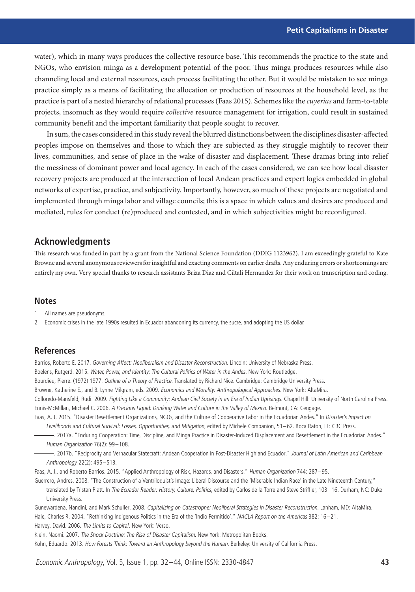water), which in many ways produces the collective resource base. This recommends the practice to the state and NGOs, who envision minga as a development potential of the poor. Thus minga produces resources while also channeling local and external resources, each process facilitating the other. But it would be mistaken to see minga practice simply as a means of facilitating the allocation or production of resources at the household level, as the practice is part of a nested hierarchy of relational processes (Faas 2015). Schemes like the *cuyerias* and farm-to-table projects, insomuch as they would require *collective* resource management for irrigation, could result in sustained community benefit and the important familiarity that people sought to recover.

In sum, the cases considered in this study reveal the blurred distinctions between the disciplines disaster-affected peoples impose on themselves and those to which they are subjected as they struggle mightily to recover their lives, communities, and sense of place in the wake of disaster and displacement. These dramas bring into relief the messiness of dominant power and local agency. In each of the cases considered, we can see how local disaster recovery projects are produced at the intersection of local Andean practices and expert logics embedded in global networks of expertise, practice, and subjectivity. Importantly, however, so much of these projects are negotiated and implemented through minga labor and village councils; this is a space in which values and desires are produced and mediated, rules for conduct (re)produced and contested, and in which subjectivities might be reconfigured.

## **Acknowledgments**

This research was funded in part by a grant from the National Science Foundation (DDIG 1123962). I am exceedingly grateful to Kate Browne and several anonymous reviewers for insightful and exacting comments on earlier drafts. Any enduring errors or shortcomings are entirely my own. Very special thanks to research assistants Briza Diaz and Ciltali Hernandez for their work on transcription and coding.

#### **Notes**

1 All names are pseudonyms.

2 Economic crises in the late 1990s resulted in Ecuador abandoning its currency, the sucre, and adopting the US dollar.

#### **References**

Barrios, Roberto E. 2017. Governing Affect: Neoliberalism and Disaster Reconstruction. Lincoln: University of Nebraska Press. Boelens, Rutgerd. 2015. Water, Power, and Identity: The Cultural Politics of Water in the Andes. New York: Routledge. Bourdieu, Pierre. (1972) 1977. Outline of a Theory of Practice. Translated by Richard Nice. Cambridge: Cambridge University Press. Browne, Katherine E., and B. Lynne Milgram, eds. 2009. Economics and Morality: Anthropological Approaches. New York: AltaMira. Colloredo-Mansfeld, Rudi. 2009. Fighting Like a Community: Andean Civil Society in an Era of Indian Uprisings. Chapel Hill: University of North Carolina Press. Ennis-McMillan, Michael C. 2006. <sup>A</sup> Precious Liquid: Drinking Water and Culture in the Valley of Mexico. Belmont, CA: Cengage. Faas, A. J. 2015. "Disaster Resettlement Organizations, NGOs, and the Culture of Cooperative Labor in the Ecuadorian Andes." In Disaster's Impact on

Livelihoods and Cultural Survival: Losses, Opportunities, and Mitigation, edited by Michele Companion, 51–62. Boca Raton, FL: CRC Press.

. 2017a. "Enduring Cooperation: Time, Discipline, and Minga Practice in Disaster-Induced Displacement and Resettlement in the Ecuadorian Andes." Human Organization 76(2): 99–108.

. 2017b. "Reciprocity and Vernacular Statecraft: Andean Cooperation in Post-Disaster Highland Ecuador." Journal of Latin American and Caribbean Anthropology 22(2): 495–513.

Faas, A. J., and Roberto Barrios. 2015. "Applied Anthropology of Risk, Hazards, and Disasters." Human Organization 744: 287–95.

Guerrero, Andres. 2008. "The Construction of a Ventriloquist's Image: Liberal Discourse and the 'Miserable Indian Race' in the Late Nineteenth Century," translated by Tristan Platt. In The Ecuador Reader: History, Culture, Politics, edited by Carlos de la Torre and Steve Striffler, 103-16. Durham, NC: Duke University Press.

Gunewardena, Nandini, and Mark Schuller. 2008. Capitalizing on Catastrophe: Neoliberal Strategies in Disaster Reconstruction. Lanham, MD: AltaMira. Hale, Charles R. 2004. "Rethinking Indigenous Politics in the Era of the 'Indio Permitido'." NACLA Report on the Americas 382: 16–21. Harvey, David. 2006. The Limits to Capital. New York: Verso.

Klein, Naomi. 2007. The Shock Doctrine: The Rise of Disaster Capitalism. New York: Metropolitan Books. Kohn, Eduardo. 2013. How Forests Think: Toward an Anthropology beyond the Human. Berkeley: University of California Press.